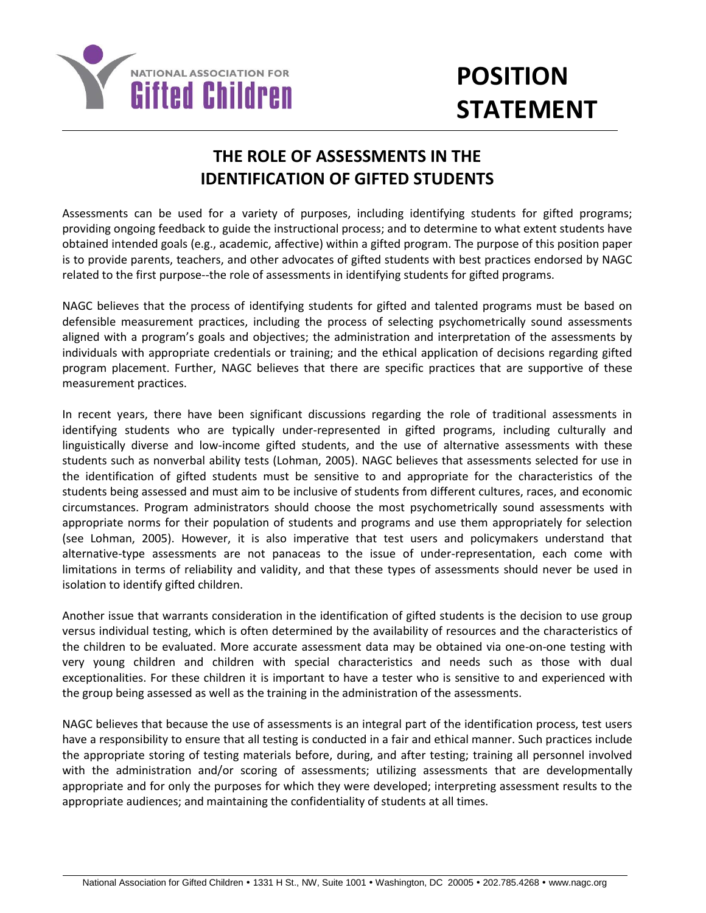

# **POSITION STATEMENT**

## **THE ROLE OF ASSESSMENTS IN THE IDENTIFICATION OF GIFTED STUDENTS**

Assessments can be used for a variety of purposes, including identifying students for gifted programs; providing ongoing feedback to guide the instructional process; and to determine to what extent students have obtained intended goals (e.g., academic, affective) within a gifted program. The purpose of this position paper is to provide parents, teachers, and other advocates of gifted students with best practices endorsed by NAGC related to the first purpose--the role of assessments in identifying students for gifted programs.

NAGC believes that the process of identifying students for gifted and talented programs must be based on defensible measurement practices, including the process of selecting psychometrically sound assessments aligned with a program's goals and objectives; the administration and interpretation of the assessments by individuals with appropriate credentials or training; and the ethical application of decisions regarding gifted program placement. Further, NAGC believes that there are specific practices that are supportive of these measurement practices.

In recent years, there have been significant discussions regarding the role of traditional assessments in identifying students who are typically under-represented in gifted programs, including culturally and linguistically diverse and low-income gifted students, and the use of alternative assessments with these students such as nonverbal ability tests (Lohman, 2005). NAGC believes that assessments selected for use in the identification of gifted students must be sensitive to and appropriate for the characteristics of the students being assessed and must aim to be inclusive of students from different cultures, races, and economic circumstances. Program administrators should choose the most psychometrically sound assessments with appropriate norms for their population of students and programs and use them appropriately for selection (see Lohman, 2005). However, it is also imperative that test users and policymakers understand that alternative-type assessments are not panaceas to the issue of under-representation, each come with limitations in terms of reliability and validity, and that these types of assessments should never be used in isolation to identify gifted children.

Another issue that warrants consideration in the identification of gifted students is the decision to use group versus individual testing, which is often determined by the availability of resources and the characteristics of the children to be evaluated. More accurate assessment data may be obtained via one-on-one testing with very young children and children with special characteristics and needs such as those with dual exceptionalities. For these children it is important to have a tester who is sensitive to and experienced with the group being assessed as well as the training in the administration of the assessments.

NAGC believes that because the use of assessments is an integral part of the identification process, test users have a responsibility to ensure that all testing is conducted in a fair and ethical manner. Such practices include the appropriate storing of testing materials before, during, and after testing; training all personnel involved with the administration and/or scoring of assessments; utilizing assessments that are developmentally appropriate and for only the purposes for which they were developed; interpreting assessment results to the appropriate audiences; and maintaining the confidentiality of students at all times.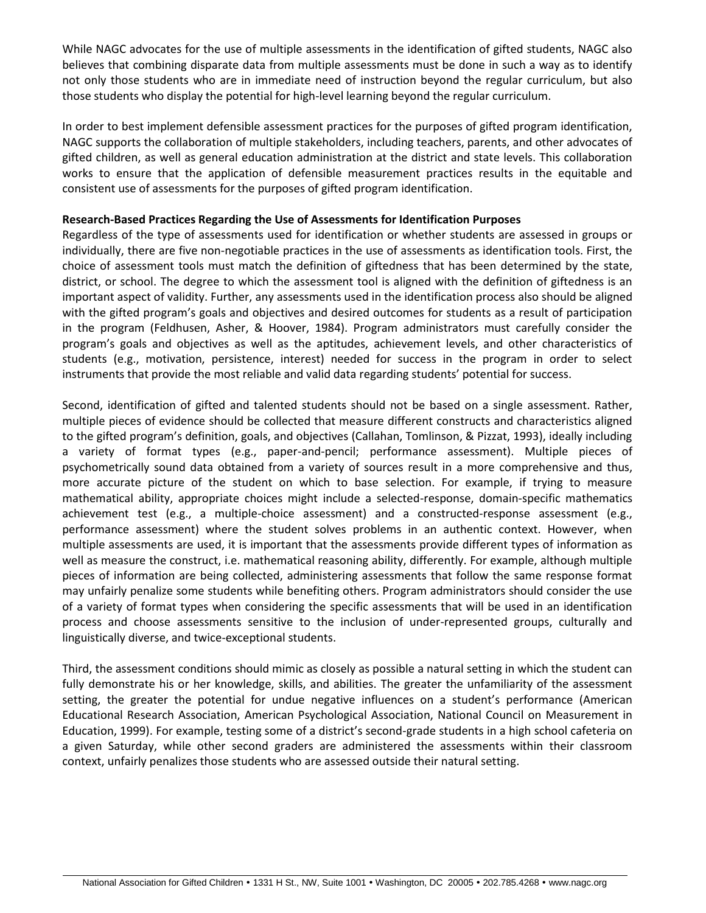While NAGC advocates for the use of multiple assessments in the identification of gifted students, NAGC also believes that combining disparate data from multiple assessments must be done in such a way as to identify not only those students who are in immediate need of instruction beyond the regular curriculum, but also those students who display the potential for high-level learning beyond the regular curriculum.

In order to best implement defensible assessment practices for the purposes of gifted program identification, NAGC supports the collaboration of multiple stakeholders, including teachers, parents, and other advocates of gifted children, as well as general education administration at the district and state levels. This collaboration works to ensure that the application of defensible measurement practices results in the equitable and consistent use of assessments for the purposes of gifted program identification.

#### **Research-Based Practices Regarding the Use of Assessments for Identification Purposes**

Regardless of the type of assessments used for identification or whether students are assessed in groups or individually, there are five non-negotiable practices in the use of assessments as identification tools. First, the choice of assessment tools must match the definition of giftedness that has been determined by the state, district, or school. The degree to which the assessment tool is aligned with the definition of giftedness is an important aspect of validity. Further, any assessments used in the identification process also should be aligned with the gifted program's goals and objectives and desired outcomes for students as a result of participation in the program (Feldhusen, Asher, & Hoover, 1984). Program administrators must carefully consider the program's goals and objectives as well as the aptitudes, achievement levels, and other characteristics of students (e.g., motivation, persistence, interest) needed for success in the program in order to select instruments that provide the most reliable and valid data regarding students' potential for success.

Second, identification of gifted and talented students should not be based on a single assessment. Rather, multiple pieces of evidence should be collected that measure different constructs and characteristics aligned to the gifted program's definition, goals, and objectives (Callahan, Tomlinson, & Pizzat, 1993), ideally including a variety of format types (e.g., paper-and-pencil; performance assessment). Multiple pieces of psychometrically sound data obtained from a variety of sources result in a more comprehensive and thus, more accurate picture of the student on which to base selection. For example, if trying to measure mathematical ability, appropriate choices might include a selected-response, domain-specific mathematics achievement test (e.g., a multiple-choice assessment) and a constructed-response assessment (e.g., performance assessment) where the student solves problems in an authentic context. However, when multiple assessments are used, it is important that the assessments provide different types of information as well as measure the construct, i.e. mathematical reasoning ability, differently. For example, although multiple pieces of information are being collected, administering assessments that follow the same response format may unfairly penalize some students while benefiting others. Program administrators should consider the use of a variety of format types when considering the specific assessments that will be used in an identification process and choose assessments sensitive to the inclusion of under-represented groups, culturally and linguistically diverse, and twice-exceptional students.

Third, the assessment conditions should mimic as closely as possible a natural setting in which the student can fully demonstrate his or her knowledge, skills, and abilities. The greater the unfamiliarity of the assessment setting, the greater the potential for undue negative influences on a student's performance (American Educational Research Association, American Psychological Association, National Council on Measurement in Education, 1999). For example, testing some of a district's second-grade students in a high school cafeteria on a given Saturday, while other second graders are administered the assessments within their classroom context, unfairly penalizes those students who are assessed outside their natural setting.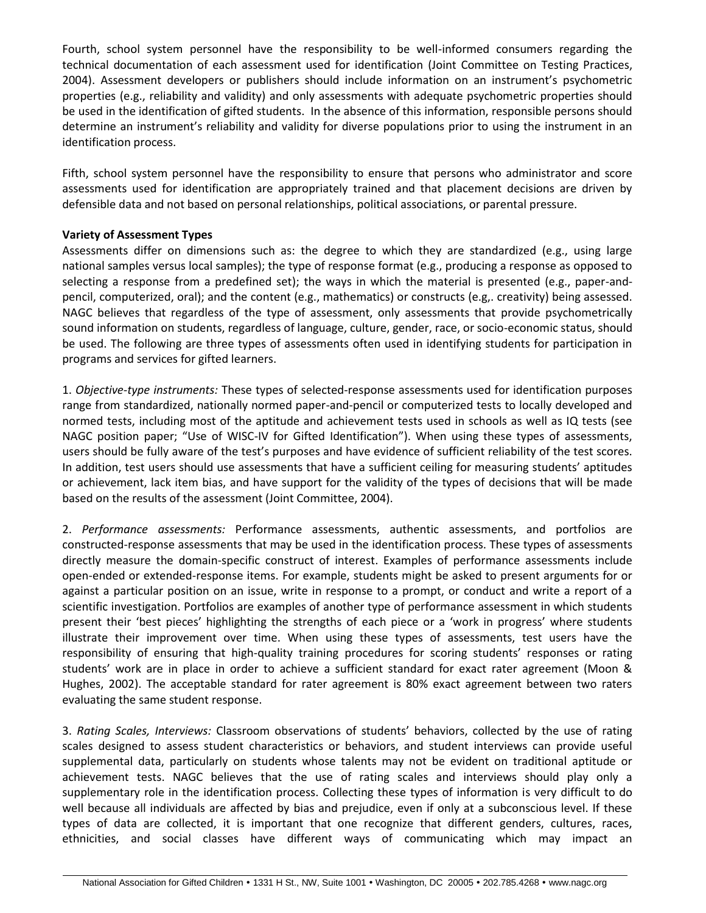Fourth, school system personnel have the responsibility to be well-informed consumers regarding the technical documentation of each assessment used for identification (Joint Committee on Testing Practices, 2004). Assessment developers or publishers should include information on an instrument's psychometric properties (e.g., reliability and validity) and only assessments with adequate psychometric properties should be used in the identification of gifted students. In the absence of this information, responsible persons should determine an instrument's reliability and validity for diverse populations prior to using the instrument in an identification process.

Fifth, school system personnel have the responsibility to ensure that persons who administrator and score assessments used for identification are appropriately trained and that placement decisions are driven by defensible data and not based on personal relationships, political associations, or parental pressure.

#### **Variety of Assessment Types**

Assessments differ on dimensions such as: the degree to which they are standardized (e.g., using large national samples versus local samples); the type of response format (e.g., producing a response as opposed to selecting a response from a predefined set); the ways in which the material is presented (e.g., paper-andpencil, computerized, oral); and the content (e.g., mathematics) or constructs (e.g,. creativity) being assessed. NAGC believes that regardless of the type of assessment, only assessments that provide psychometrically sound information on students, regardless of language, culture, gender, race, or socio-economic status, should be used. The following are three types of assessments often used in identifying students for participation in programs and services for gifted learners.

1. *Objective-type instruments:* These types of selected-response assessments used for identification purposes range from standardized, nationally normed paper-and-pencil or computerized tests to locally developed and normed tests, including most of the aptitude and achievement tests used in schools as well as IQ tests (see NAGC position paper; "Use of WISC-IV for Gifted Identification"). When using these types of assessments, users should be fully aware of the test's purposes and have evidence of sufficient reliability of the test scores. In addition, test users should use assessments that have a sufficient ceiling for measuring students' aptitudes or achievement, lack item bias, and have support for the validity of the types of decisions that will be made based on the results of the assessment (Joint Committee, 2004).

2. *Performance assessments:* Performance assessments, authentic assessments, and portfolios are constructed-response assessments that may be used in the identification process. These types of assessments directly measure the domain-specific construct of interest. Examples of performance assessments include open-ended or extended-response items. For example, students might be asked to present arguments for or against a particular position on an issue, write in response to a prompt, or conduct and write a report of a scientific investigation. Portfolios are examples of another type of performance assessment in which students present their 'best pieces' highlighting the strengths of each piece or a 'work in progress' where students illustrate their improvement over time. When using these types of assessments, test users have the responsibility of ensuring that high-quality training procedures for scoring students' responses or rating students' work are in place in order to achieve a sufficient standard for exact rater agreement (Moon & Hughes, 2002). The acceptable standard for rater agreement is 80% exact agreement between two raters evaluating the same student response.

3. *Rating Scales, Interviews:* Classroom observations of students' behaviors, collected by the use of rating scales designed to assess student characteristics or behaviors, and student interviews can provide useful supplemental data, particularly on students whose talents may not be evident on traditional aptitude or achievement tests. NAGC believes that the use of rating scales and interviews should play only a supplementary role in the identification process. Collecting these types of information is very difficult to do well because all individuals are affected by bias and prejudice, even if only at a subconscious level. If these types of data are collected, it is important that one recognize that different genders, cultures, races, ethnicities, and social classes have different ways of communicating which may impact an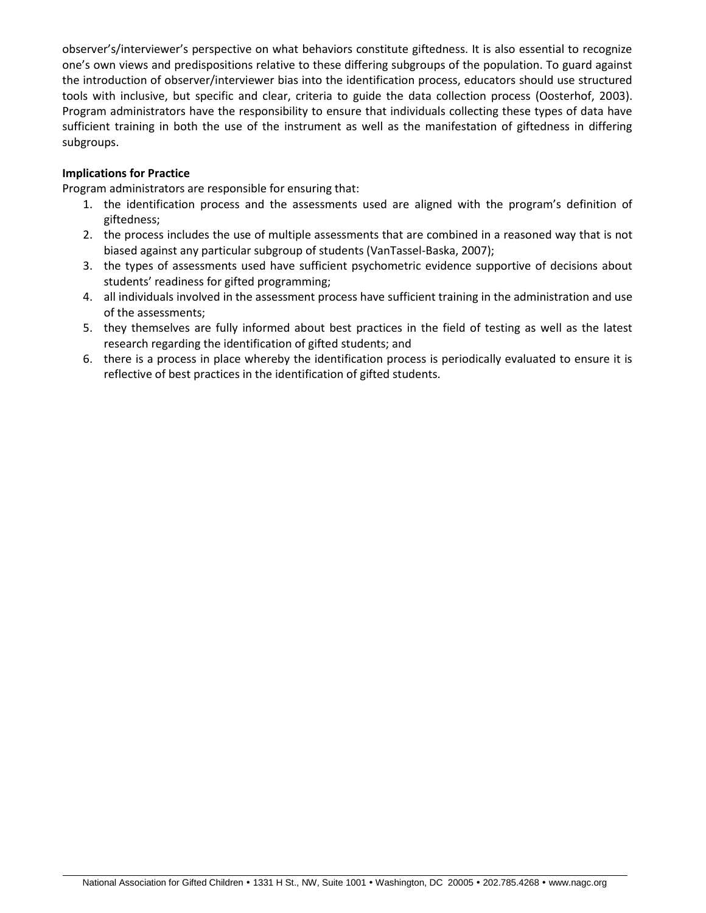observer's/interviewer's perspective on what behaviors constitute giftedness. It is also essential to recognize one's own views and predispositions relative to these differing subgroups of the population. To guard against the introduction of observer/interviewer bias into the identification process, educators should use structured tools with inclusive, but specific and clear, criteria to guide the data collection process (Oosterhof, 2003). Program administrators have the responsibility to ensure that individuals collecting these types of data have sufficient training in both the use of the instrument as well as the manifestation of giftedness in differing subgroups.

### **Implications for Practice**

Program administrators are responsible for ensuring that:

- 1. the identification process and the assessments used are aligned with the program's definition of giftedness;
- 2. the process includes the use of multiple assessments that are combined in a reasoned way that is not biased against any particular subgroup of students (VanTassel-Baska, 2007);
- 3. the types of assessments used have sufficient psychometric evidence supportive of decisions about students' readiness for gifted programming;
- 4. all individuals involved in the assessment process have sufficient training in the administration and use of the assessments;
- 5. they themselves are fully informed about best practices in the field of testing as well as the latest research regarding the identification of gifted students; and
- 6. there is a process in place whereby the identification process is periodically evaluated to ensure it is reflective of best practices in the identification of gifted students.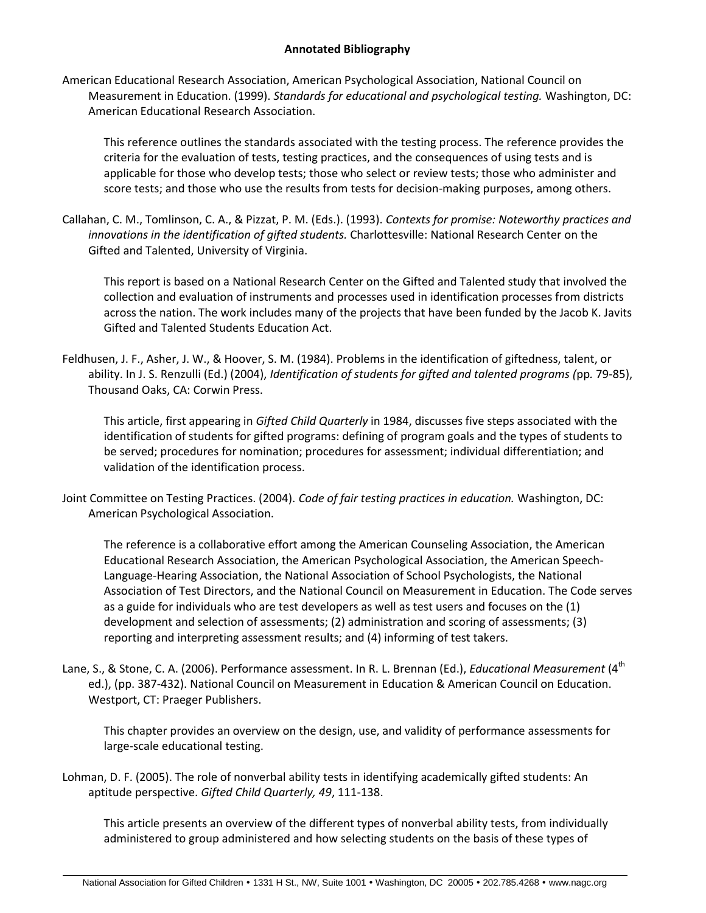#### **Annotated Bibliography**

American Educational Research Association, American Psychological Association, National Council on Measurement in Education. (1999). *Standards for educational and psychological testing.* Washington, DC: American Educational Research Association.

This reference outlines the standards associated with the testing process. The reference provides the criteria for the evaluation of tests, testing practices, and the consequences of using tests and is applicable for those who develop tests; those who select or review tests; those who administer and score tests; and those who use the results from tests for decision-making purposes, among others.

Callahan, C. M., Tomlinson, C. A., & Pizzat, P. M. (Eds.). (1993). *Contexts for promise: Noteworthy practices and innovations in the identification of gifted students.* Charlottesville: National Research Center on the Gifted and Talented, University of Virginia.

This report is based on a National Research Center on the Gifted and Talented study that involved the collection and evaluation of instruments and processes used in identification processes from districts across the nation. The work includes many of the projects that have been funded by the Jacob K. Javits Gifted and Talented Students Education Act.

Feldhusen, J. F., Asher, J. W., & Hoover, S. M. (1984). Problems in the identification of giftedness, talent, or ability. In J. S. Renzulli (Ed.) (2004), *Identification of students for gifted and talented programs (*pp*.* 79-85), Thousand Oaks, CA: Corwin Press.

This article, first appearing in *Gifted Child Quarterly* in 1984, discusses five steps associated with the identification of students for gifted programs: defining of program goals and the types of students to be served; procedures for nomination; procedures for assessment; individual differentiation; and validation of the identification process.

Joint Committee on Testing Practices. (2004). *Code of fair testing practices in education.* Washington, DC: American Psychological Association.

The reference is a collaborative effort among the American Counseling Association, the American Educational Research Association, the American Psychological Association, the American Speech-Language-Hearing Association, the National Association of School Psychologists, the National Association of Test Directors, and the National Council on Measurement in Education. The Code serves as a guide for individuals who are test developers as well as test users and focuses on the (1) development and selection of assessments; (2) administration and scoring of assessments; (3) reporting and interpreting assessment results; and (4) informing of test takers.

Lane, S., & Stone, C. A. (2006). Performance assessment. In R. L. Brennan (Ed.), *Educational Measurement* (4<sup>th</sup> ed.), (pp. 387-432). National Council on Measurement in Education & American Council on Education. Westport, CT: Praeger Publishers.

This chapter provides an overview on the design, use, and validity of performance assessments for large-scale educational testing.

Lohman, D. F. (2005). The role of nonverbal ability tests in identifying academically gifted students: An aptitude perspective. *Gifted Child Quarterly, 49*, 111-138.

This article presents an overview of the different types of nonverbal ability tests, from individually administered to group administered and how selecting students on the basis of these types of